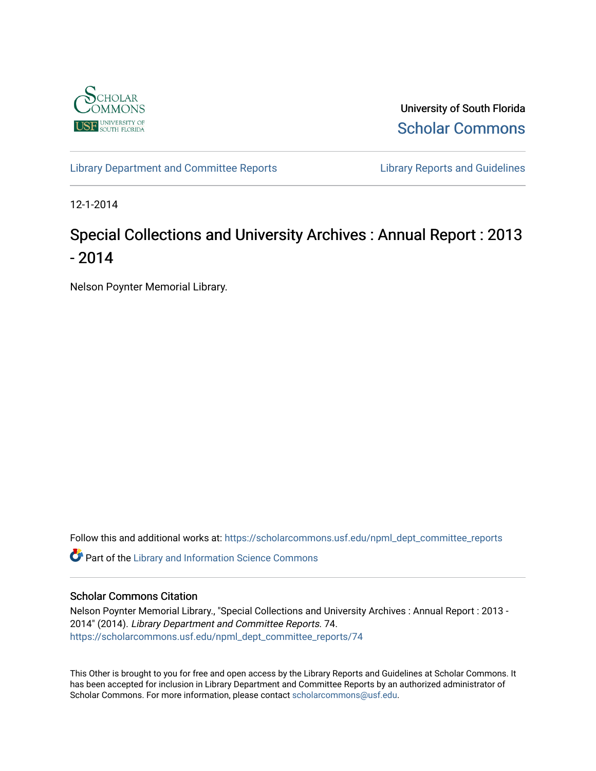

University of South Florida [Scholar Commons](https://scholarcommons.usf.edu/) 

[Library Department and Committee Reports](https://scholarcommons.usf.edu/npml_dept_committee_reports) **Library Reports and Guidelines** 

12-1-2014

## Special Collections and University Archives : Annual Report : 2013 - 2014

Nelson Poynter Memorial Library.

Follow this and additional works at: [https://scholarcommons.usf.edu/npml\\_dept\\_committee\\_reports](https://scholarcommons.usf.edu/npml_dept_committee_reports?utm_source=scholarcommons.usf.edu%2Fnpml_dept_committee_reports%2F74&utm_medium=PDF&utm_campaign=PDFCoverPages)

Part of the [Library and Information Science Commons](http://network.bepress.com/hgg/discipline/1018?utm_source=scholarcommons.usf.edu%2Fnpml_dept_committee_reports%2F74&utm_medium=PDF&utm_campaign=PDFCoverPages) 

#### Scholar Commons Citation

Nelson Poynter Memorial Library., "Special Collections and University Archives : Annual Report : 2013 - 2014" (2014). Library Department and Committee Reports. 74. [https://scholarcommons.usf.edu/npml\\_dept\\_committee\\_reports/74](https://scholarcommons.usf.edu/npml_dept_committee_reports/74?utm_source=scholarcommons.usf.edu%2Fnpml_dept_committee_reports%2F74&utm_medium=PDF&utm_campaign=PDFCoverPages) 

This Other is brought to you for free and open access by the Library Reports and Guidelines at Scholar Commons. It has been accepted for inclusion in Library Department and Committee Reports by an authorized administrator of Scholar Commons. For more information, please contact [scholarcommons@usf.edu](mailto:scholarcommons@usf.edu).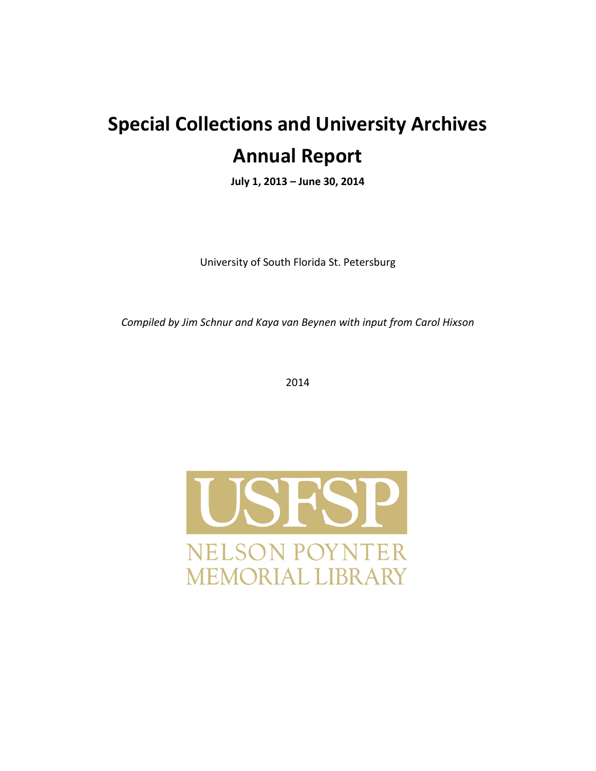# **Special Collections and University Archives Annual Report**

**July 1, 2013 – June 30, 2014**

University of South Florida St. Petersburg

*Compiled by Jim Schnur and Kaya van Beynen with input from Carol Hixson* 

2014

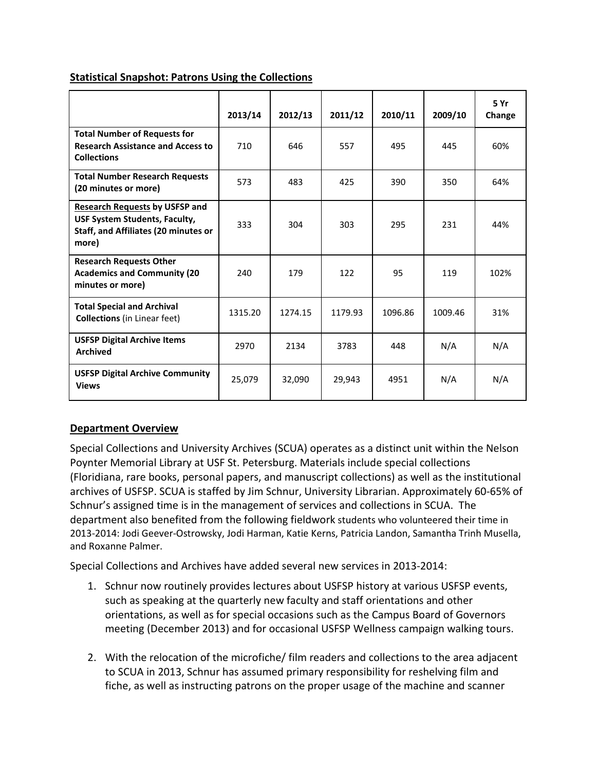|                                                                                                                                       | 2013/14 | 2012/13 | 2011/12 | 2010/11 | 2009/10 | 5 Yr<br>Change |
|---------------------------------------------------------------------------------------------------------------------------------------|---------|---------|---------|---------|---------|----------------|
| <b>Total Number of Requests for</b><br><b>Research Assistance and Access to</b><br><b>Collections</b>                                 | 710     | 646     | 557     | 495     | 445     | 60%            |
| <b>Total Number Research Requests</b><br>(20 minutes or more)                                                                         | 573     | 483     | 425     | 390     | 350     | 64%            |
| <b>Research Requests by USFSP and</b><br><b>USF System Students, Faculty,</b><br><b>Staff, and Affiliates (20 minutes or</b><br>more) | 333     | 304     | 303     | 295     | 231     | 44%            |
| <b>Research Requests Other</b><br><b>Academics and Community (20</b><br>minutes or more)                                              | 240     | 179     | 122     | 95      | 119     | 102%           |
| <b>Total Special and Archival</b><br><b>Collections</b> (in Linear feet)                                                              | 1315.20 | 1274.15 | 1179.93 | 1096.86 | 1009.46 | 31%            |
| <b>USFSP Digital Archive Items</b><br><b>Archived</b>                                                                                 | 2970    | 2134    | 3783    | 448     | N/A     | N/A            |
| <b>USFSP Digital Archive Community</b><br><b>Views</b>                                                                                | 25,079  | 32,090  | 29,943  | 4951    | N/A     | N/A            |

#### **Statistical Snapshot: Patrons Using the Collections**

#### **Department Overview**

Special Collections and University Archives (SCUA) operates as a distinct unit within the Nelson Poynter Memorial Library at USF St. Petersburg. Materials include special collections (Floridiana, rare books, personal papers, and manuscript collections) as well as the institutional archives of USFSP. SCUA is staffed by Jim Schnur, University Librarian. Approximately 60-65% of Schnur's assigned time is in the management of services and collections in SCUA. The department also benefited from the following fieldwork students who volunteered their time in 2013-2014: Jodi Geever-Ostrowsky, Jodi Harman, Katie Kerns, Patricia Landon, Samantha Trinh Musella, and Roxanne Palmer.

Special Collections and Archives have added several new services in 2013-2014:

- 1. Schnur now routinely provides lectures about USFSP history at various USFSP events, such as speaking at the quarterly new faculty and staff orientations and other orientations, as well as for special occasions such as the Campus Board of Governors meeting (December 2013) and for occasional USFSP Wellness campaign walking tours.
- 2. With the relocation of the microfiche/ film readers and collections to the area adjacent to SCUA in 2013, Schnur has assumed primary responsibility for reshelving film and fiche, as well as instructing patrons on the proper usage of the machine and scanner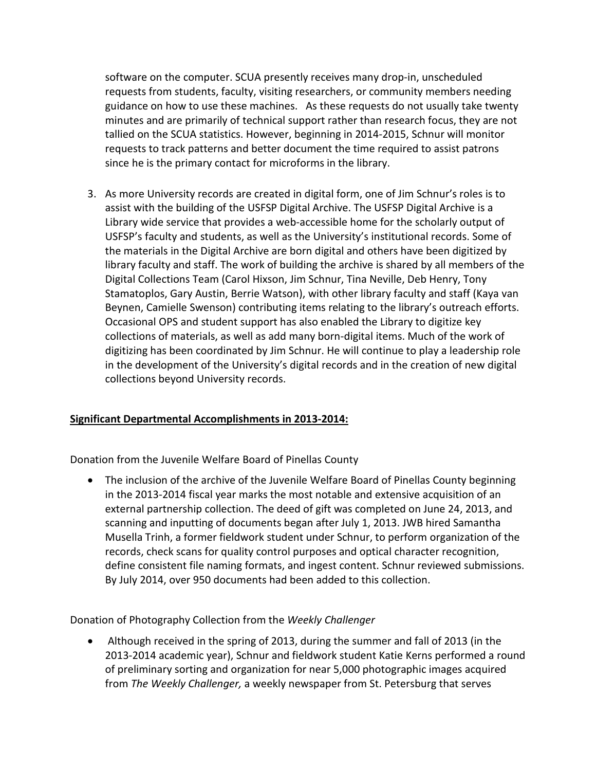software on the computer. SCUA presently receives many drop-in, unscheduled requests from students, faculty, visiting researchers, or community members needing guidance on how to use these machines. As these requests do not usually take twenty minutes and are primarily of technical support rather than research focus, they are not tallied on the SCUA statistics. However, beginning in 2014-2015, Schnur will monitor requests to track patterns and better document the time required to assist patrons since he is the primary contact for microforms in the library.

3. As more University records are created in digital form, one of Jim Schnur's roles is to assist with the building of the USFSP Digital Archive. The USFSP Digital Archive is a Library wide service that provides a web-accessible home for the scholarly output of USFSP's faculty and students, as well as the University's institutional records. Some of the materials in the Digital Archive are born digital and others have been digitized by library faculty and staff. The work of building the archive is shared by all members of the Digital Collections Team (Carol Hixson, Jim Schnur, Tina Neville, Deb Henry, Tony Stamatoplos, Gary Austin, Berrie Watson), with other library faculty and staff (Kaya van Beynen, Camielle Swenson) contributing items relating to the library's outreach efforts. Occasional OPS and student support has also enabled the Library to digitize key collections of materials, as well as add many born-digital items. Much of the work of digitizing has been coordinated by Jim Schnur. He will continue to play a leadership role in the development of the University's digital records and in the creation of new digital collections beyond University records.

#### **Significant Departmental Accomplishments in 2013-2014:**

Donation from the Juvenile Welfare Board of Pinellas County

• The inclusion of the archive of the Juvenile Welfare Board of Pinellas County beginning in the 2013-2014 fiscal year marks the most notable and extensive acquisition of an external partnership collection. The deed of gift was completed on June 24, 2013, and scanning and inputting of documents began after July 1, 2013. JWB hired Samantha Musella Trinh, a former fieldwork student under Schnur, to perform organization of the records, check scans for quality control purposes and optical character recognition, define consistent file naming formats, and ingest content. Schnur reviewed submissions. By July 2014, over 950 documents had been added to this collection.

Donation of Photography Collection from the *Weekly Challenger*

• Although received in the spring of 2013, during the summer and fall of 2013 (in the 2013-2014 academic year), Schnur and fieldwork student Katie Kerns performed a round of preliminary sorting and organization for near 5,000 photographic images acquired from *The Weekly Challenger,* a weekly newspaper from St. Petersburg that serves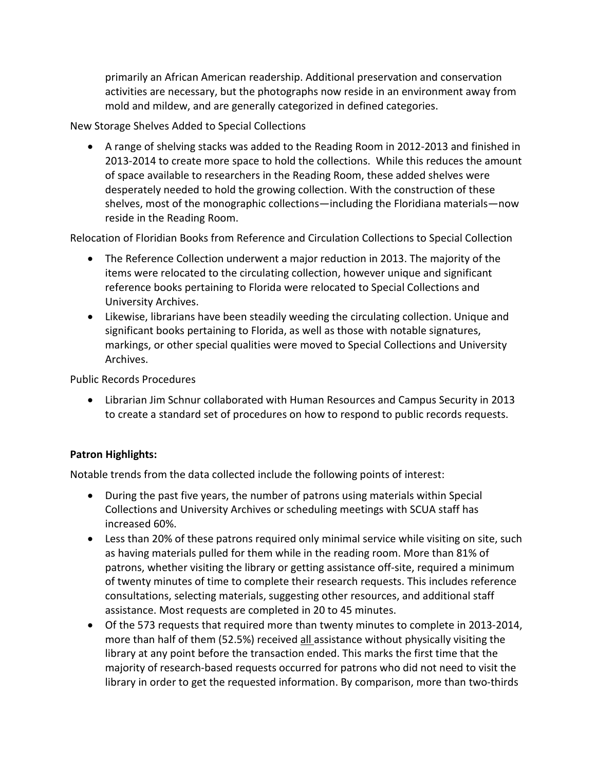primarily an African American readership. Additional preservation and conservation activities are necessary, but the photographs now reside in an environment away from mold and mildew, and are generally categorized in defined categories.

New Storage Shelves Added to Special Collections

• A range of shelving stacks was added to the Reading Room in 2012-2013 and finished in 2013-2014 to create more space to hold the collections. While this reduces the amount of space available to researchers in the Reading Room, these added shelves were desperately needed to hold the growing collection. With the construction of these shelves, most of the monographic collections—including the Floridiana materials—now reside in the Reading Room.

Relocation of Floridian Books from Reference and Circulation Collections to Special Collection

- The Reference Collection underwent a major reduction in 2013. The majority of the items were relocated to the circulating collection, however unique and significant reference books pertaining to Florida were relocated to Special Collections and University Archives.
- Likewise, librarians have been steadily weeding the circulating collection. Unique and significant books pertaining to Florida, as well as those with notable signatures, markings, or other special qualities were moved to Special Collections and University Archives.

Public Records Procedures

• Librarian Jim Schnur collaborated with Human Resources and Campus Security in 2013 to create a standard set of procedures on how to respond to public records requests.

### **Patron Highlights:**

Notable trends from the data collected include the following points of interest:

- During the past five years, the number of patrons using materials within Special Collections and University Archives or scheduling meetings with SCUA staff has increased 60%.
- Less than 20% of these patrons required only minimal service while visiting on site, such as having materials pulled for them while in the reading room. More than 81% of patrons, whether visiting the library or getting assistance off-site, required a minimum of twenty minutes of time to complete their research requests. This includes reference consultations, selecting materials, suggesting other resources, and additional staff assistance. Most requests are completed in 20 to 45 minutes.
- Of the 573 requests that required more than twenty minutes to complete in 2013-2014, more than half of them (52.5%) received all assistance without physically visiting the library at any point before the transaction ended. This marks the first time that the majority of research-based requests occurred for patrons who did not need to visit the library in order to get the requested information. By comparison, more than two-thirds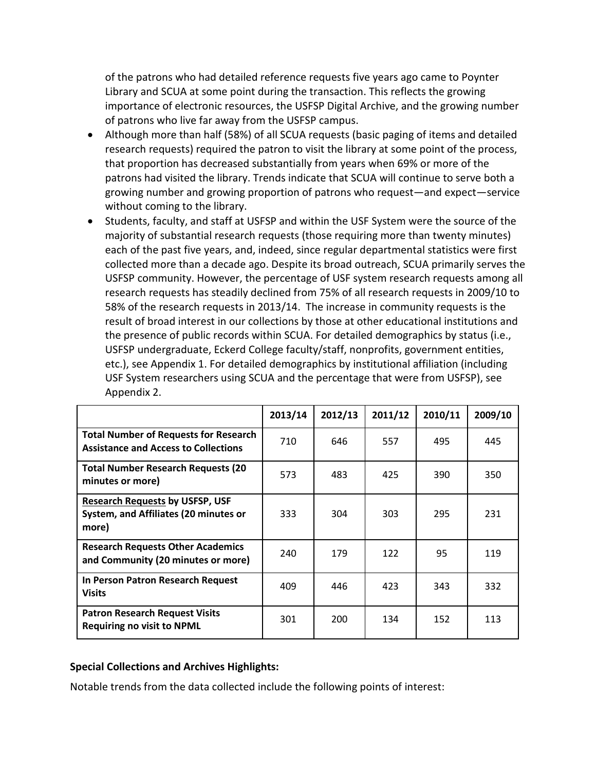of the patrons who had detailed reference requests five years ago came to Poynter Library and SCUA at some point during the transaction. This reflects the growing importance of electronic resources, the USFSP Digital Archive, and the growing number of patrons who live far away from the USFSP campus.

- Although more than half (58%) of all SCUA requests (basic paging of items and detailed research requests) required the patron to visit the library at some point of the process, that proportion has decreased substantially from years when 69% or more of the patrons had visited the library. Trends indicate that SCUA will continue to serve both a growing number and growing proportion of patrons who request—and expect—service without coming to the library.
- Students, faculty, and staff at USFSP and within the USF System were the source of the majority of substantial research requests (those requiring more than twenty minutes) each of the past five years, and, indeed, since regular departmental statistics were first collected more than a decade ago. Despite its broad outreach, SCUA primarily serves the USFSP community. However, the percentage of USF system research requests among all research requests has steadily declined from 75% of all research requests in 2009/10 to 58% of the research requests in 2013/14. The increase in community requests is the result of broad interest in our collections by those at other educational institutions and the presence of public records within SCUA. For detailed demographics by status (i.e., USFSP undergraduate, Eckerd College faculty/staff, nonprofits, government entities, etc.), see Appendix 1. For detailed demographics by institutional affiliation (including USF System researchers using SCUA and the percentage that were from USFSP), see Appendix 2.

|                                                                                             | 2013/14 | 2012/13 | 2011/12 | 2010/11 | 2009/10 |
|---------------------------------------------------------------------------------------------|---------|---------|---------|---------|---------|
| <b>Total Number of Requests for Research</b><br><b>Assistance and Access to Collections</b> | 710     | 646     | 557     | 495     | 445     |
| <b>Total Number Research Requests (20</b><br>minutes or more)                               | 573     | 483     | 425     | 390     | 350     |
| <b>Research Requests by USFSP, USF</b><br>System, and Affiliates (20 minutes or<br>more)    | 333     | 304     | 303     | 295     | 231     |
| <b>Research Requests Other Academics</b><br>and Community (20 minutes or more)              | 240     | 179     | 122     | 95      | 119     |
| In Person Patron Research Request<br><b>Visits</b>                                          | 409     | 446     | 423     | 343     | 332     |
| <b>Patron Research Request Visits</b><br><b>Requiring no visit to NPML</b>                  | 301     | 200     | 134     | 152     | 113     |

#### **Special Collections and Archives Highlights:**

Notable trends from the data collected include the following points of interest: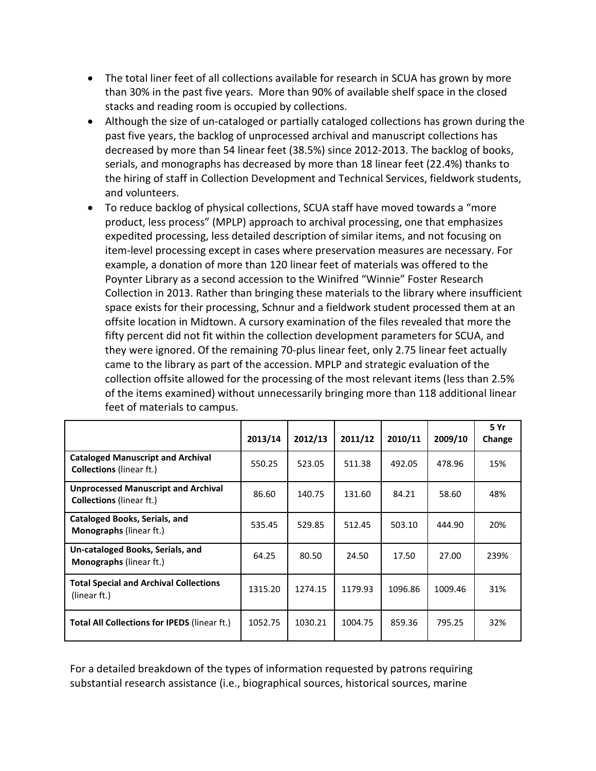- The total liner feet of all collections available for research in SCUA has grown by more than 30% in the past five years. More than 90% of available shelf space in the closed stacks and reading room is occupied by collections.
- Although the size of un-cataloged or partially cataloged collections has grown during the past five years, the backlog of unprocessed archival and manuscript collections has decreased by more than 54 linear feet (38.5%) since 2012-2013. The backlog of books, serials, and monographs has decreased by more than 18 linear feet (22.4%) thanks to the hiring of staff in Collection Development and Technical Services, fieldwork students, and volunteers.
- To reduce backlog of physical collections, SCUA staff have moved towards a "more product, less process" (MPLP) approach to archival processing, one that emphasizes expedited processing, less detailed description of similar items, and not focusing on item-level processing except in cases where preservation measures are necessary. For example, a donation of more than 120 linear feet of materials was offered to the Poynter Library as a second accession to the Winifred "Winnie" Foster Research Collection in 2013. Rather than bringing these materials to the library where insufficient space exists for their processing, Schnur and a fieldwork student processed them at an offsite location in Midtown. A cursory examination of the files revealed that more the fifty percent did not fit within the collection development parameters for SCUA, and they were ignored. Of the remaining 70-plus linear feet, only 2.75 linear feet actually came to the library as part of the accession. MPLP and strategic evaluation of the collection offsite allowed for the processing of the most relevant items (less than 2.5% of the items examined) without unnecessarily bringing more than 118 additional linear feet of materials to campus.

|                                                                               | 2013/14 | 2012/13 | 2011/12 | 2010/11 | 2009/10 | 5 Yr<br>Change |
|-------------------------------------------------------------------------------|---------|---------|---------|---------|---------|----------------|
| <b>Cataloged Manuscript and Archival</b><br><b>Collections</b> (linear ft.)   | 550.25  | 523.05  | 511.38  | 492.05  | 478.96  | 15%            |
| <b>Unprocessed Manuscript and Archival</b><br><b>Collections</b> (linear ft.) | 86.60   | 140.75  | 131.60  | 84.21   | 58.60   | 48%            |
| Cataloged Books, Serials, and<br><b>Monographs</b> (linear ft.)               | 535.45  | 529.85  | 512.45  | 503.10  | 444.90  | 20%            |
| Un-cataloged Books, Serials, and<br><b>Monographs</b> (linear ft.)            | 64.25   | 80.50   | 24.50   | 17.50   | 27.00   | 239%           |
| <b>Total Special and Archival Collections</b><br>(linear ft.)                 | 1315.20 | 1274.15 | 1179.93 | 1096.86 | 1009.46 | 31%            |
| <b>Total All Collections for IPEDS (linear ft.)</b>                           | 1052.75 | 1030.21 | 1004.75 | 859.36  | 795.25  | 32%            |

For a detailed breakdown of the types of information requested by patrons requiring substantial research assistance (i.e., biographical sources, historical sources, marine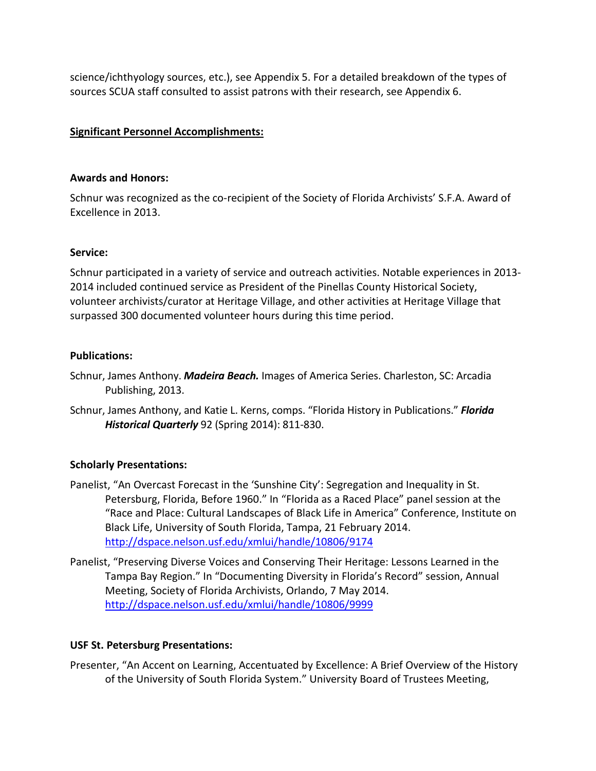science/ichthyology sources, etc.), see Appendix 5. For a detailed breakdown of the types of sources SCUA staff consulted to assist patrons with their research, see Appendix 6.

#### **Significant Personnel Accomplishments:**

#### **Awards and Honors:**

Schnur was recognized as the co-recipient of the Society of Florida Archivists' S.F.A. Award of Excellence in 2013.

#### **Service:**

Schnur participated in a variety of service and outreach activities. Notable experiences in 2013- 2014 included continued service as President of the Pinellas County Historical Society, volunteer archivists/curator at Heritage Village, and other activities at Heritage Village that surpassed 300 documented volunteer hours during this time period.

#### **Publications:**

- Schnur, James Anthony. *Madeira Beach.* Images of America Series. Charleston, SC: Arcadia Publishing, 2013.
- Schnur, James Anthony, and Katie L. Kerns, comps. "Florida History in Publications." *Florida Historical Quarterly* 92 (Spring 2014): 811-830.

#### **Scholarly Presentations:**

- Panelist, "An Overcast Forecast in the 'Sunshine City': Segregation and Inequality in St. Petersburg, Florida, Before 1960." In "Florida as a Raced Place" panel session at the "Race and Place: Cultural Landscapes of Black Life in America" Conference, Institute on Black Life, University of South Florida, Tampa, 21 February 2014. <http://dspace.nelson.usf.edu/xmlui/handle/10806/9174>
- Panelist, "Preserving Diverse Voices and Conserving Their Heritage: Lessons Learned in the Tampa Bay Region." In "Documenting Diversity in Florida's Record" session, Annual Meeting, Society of Florida Archivists, Orlando, 7 May 2014. <http://dspace.nelson.usf.edu/xmlui/handle/10806/9999>

#### **USF St. Petersburg Presentations:**

Presenter, "An Accent on Learning, Accentuated by Excellence: A Brief Overview of the History of the University of South Florida System." University Board of Trustees Meeting,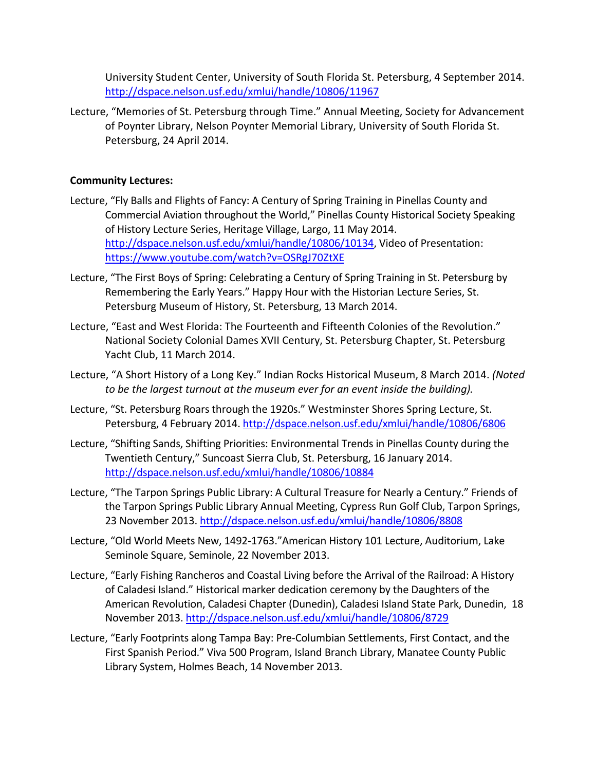University Student Center, University of South Florida St. Petersburg, 4 September 2014. <http://dspace.nelson.usf.edu/xmlui/handle/10806/11967>

Lecture, "Memories of St. Petersburg through Time." Annual Meeting, Society for Advancement of Poynter Library, Nelson Poynter Memorial Library, University of South Florida St. Petersburg, 24 April 2014.

#### **Community Lectures:**

- Lecture, "Fly Balls and Flights of Fancy: A Century of Spring Training in Pinellas County and Commercial Aviation throughout the World," Pinellas County Historical Society Speaking of History Lecture Series, Heritage Village, Largo, 11 May 2014. [http://dspace.nelson.usf.edu/xmlui/handle/10806/10134,](http://dspace.nelson.usf.edu/xmlui/handle/10806/10134) Video of Presentation: <https://www.youtube.com/watch?v=OSRgJ70ZtXE>
- Lecture, "The First Boys of Spring: Celebrating a Century of Spring Training in St. Petersburg by Remembering the Early Years." Happy Hour with the Historian Lecture Series, St. Petersburg Museum of History, St. Petersburg, 13 March 2014.
- Lecture, "East and West Florida: The Fourteenth and Fifteenth Colonies of the Revolution." National Society Colonial Dames XVII Century, St. Petersburg Chapter, St. Petersburg Yacht Club, 11 March 2014.
- Lecture, "A Short History of a Long Key." Indian Rocks Historical Museum, 8 March 2014. *(Noted to be the largest turnout at the museum ever for an event inside the building).*
- Lecture, "St. Petersburg Roars through the 1920s." Westminster Shores Spring Lecture, St. Petersburg, 4 February 2014[. http://dspace.nelson.usf.edu/xmlui/handle/10806/6806](http://dspace.nelson.usf.edu/xmlui/handle/10806/6806)
- Lecture, "Shifting Sands, Shifting Priorities: Environmental Trends in Pinellas County during the Twentieth Century," Suncoast Sierra Club, St. Petersburg, 16 January 2014. <http://dspace.nelson.usf.edu/xmlui/handle/10806/10884>
- Lecture, "The Tarpon Springs Public Library: A Cultural Treasure for Nearly a Century." Friends of the Tarpon Springs Public Library Annual Meeting, Cypress Run Golf Club, Tarpon Springs, 23 November 2013.<http://dspace.nelson.usf.edu/xmlui/handle/10806/8808>
- Lecture, "Old World Meets New, 1492-1763."American History 101 Lecture, Auditorium, Lake Seminole Square, Seminole, 22 November 2013.
- Lecture, "Early Fishing Rancheros and Coastal Living before the Arrival of the Railroad: A History of Caladesi Island." Historical marker dedication ceremony by the Daughters of the American Revolution, Caladesi Chapter (Dunedin), Caladesi Island State Park, Dunedin, 18 November 2013. <http://dspace.nelson.usf.edu/xmlui/handle/10806/8729>
- Lecture, "Early Footprints along Tampa Bay: Pre-Columbian Settlements, First Contact, and the First Spanish Period." Viva 500 Program, Island Branch Library, Manatee County Public Library System, Holmes Beach, 14 November 2013.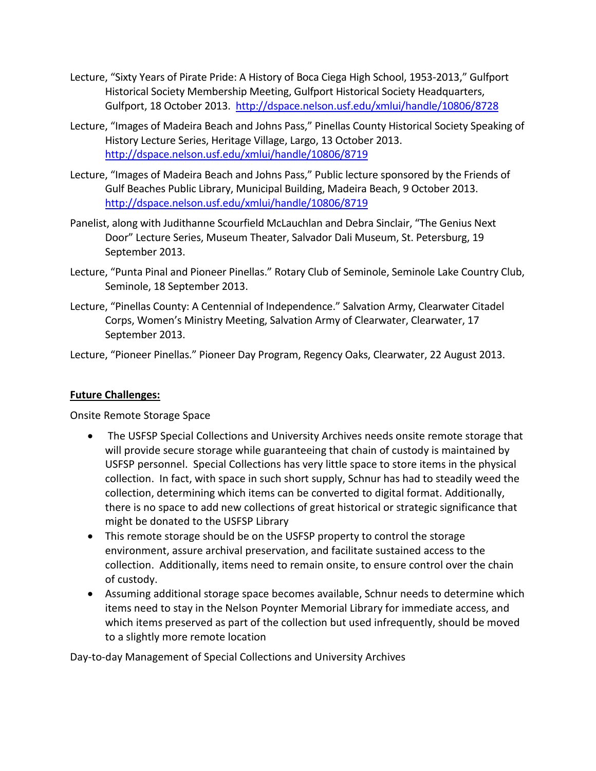- Lecture, "Sixty Years of Pirate Pride: A History of Boca Ciega High School, 1953-2013," Gulfport Historical Society Membership Meeting, Gulfport Historical Society Headquarters, Gulfport, 18 October 2013. <http://dspace.nelson.usf.edu/xmlui/handle/10806/8728>
- Lecture, "Images of Madeira Beach and Johns Pass," Pinellas County Historical Society Speaking of History Lecture Series, Heritage Village, Largo, 13 October 2013. <http://dspace.nelson.usf.edu/xmlui/handle/10806/8719>
- Lecture, "Images of Madeira Beach and Johns Pass," Public lecture sponsored by the Friends of Gulf Beaches Public Library, Municipal Building, Madeira Beach, 9 October 2013. <http://dspace.nelson.usf.edu/xmlui/handle/10806/8719>
- Panelist, along with Judithanne Scourfield McLauchlan and Debra Sinclair, "The Genius Next Door" Lecture Series, Museum Theater, Salvador Dali Museum, St. Petersburg, 19 September 2013.
- Lecture, "Punta Pinal and Pioneer Pinellas." Rotary Club of Seminole, Seminole Lake Country Club, Seminole, 18 September 2013.
- Lecture, "Pinellas County: A Centennial of Independence." Salvation Army, Clearwater Citadel Corps, Women's Ministry Meeting, Salvation Army of Clearwater, Clearwater, 17 September 2013.

Lecture, "Pioneer Pinellas." Pioneer Day Program, Regency Oaks, Clearwater, 22 August 2013.

#### **Future Challenges:**

Onsite Remote Storage Space

- The USFSP Special Collections and University Archives needs onsite remote storage that will provide secure storage while guaranteeing that chain of custody is maintained by USFSP personnel. Special Collections has very little space to store items in the physical collection. In fact, with space in such short supply, Schnur has had to steadily weed the collection, determining which items can be converted to digital format. Additionally, there is no space to add new collections of great historical or strategic significance that might be donated to the USFSP Library
- This remote storage should be on the USFSP property to control the storage environment, assure archival preservation, and facilitate sustained access to the collection. Additionally, items need to remain onsite, to ensure control over the chain of custody.
- Assuming additional storage space becomes available, Schnur needs to determine which items need to stay in the Nelson Poynter Memorial Library for immediate access, and which items preserved as part of the collection but used infrequently, should be moved to a slightly more remote location

Day-to-day Management of Special Collections and University Archives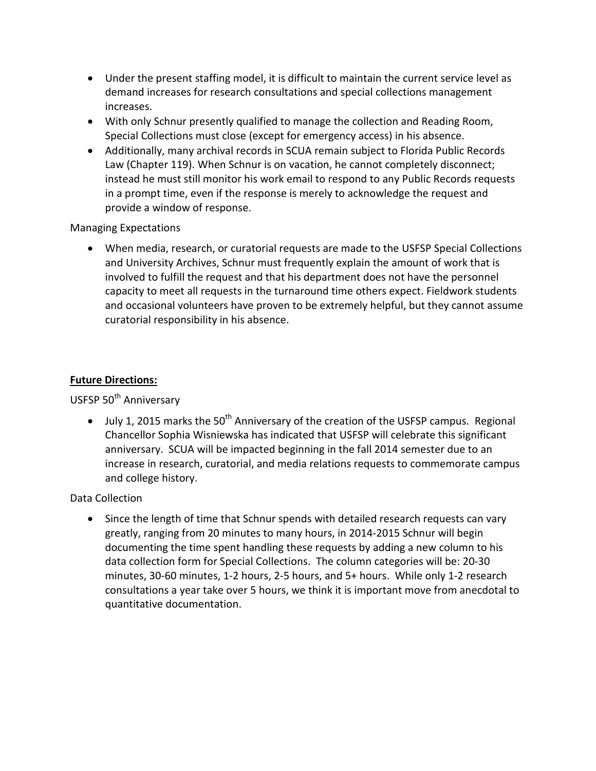- Under the present staffing model, it is difficult to maintain the current service level as demand increases for research consultations and special collections management increases.
- With only Schnur presently qualified to manage the collection and Reading Room, Special Collections must close (except for emergency access) in his absence.
- Additionally, many archival records in SCUA remain subject to Florida Public Records Law (Chapter 119). When Schnur is on vacation, he cannot completely disconnect; instead he must still monitor his work email to respond to any Public Records requests in a prompt time, even if the response is merely to acknowledge the request and provide a window of response.

Managing Expectations

• When media, research, or curatorial requests are made to the USFSP Special Collections and University Archives, Schnur must frequently explain the amount of work that is involved to fulfill the request and that his department does not have the personnel capacity to meet all requests in the turnaround time others expect. Fieldwork students and occasional volunteers have proven to be extremely helpful, but they cannot assume curatorial responsibility in his absence.

#### **Future Directions:**

USFSP 50<sup>th</sup> Anniversary

• July 1, 2015 marks the  $50<sup>th</sup>$  Anniversary of the creation of the USFSP campus. Regional Chancellor Sophia Wisniewska has indicated that USFSP will celebrate this significant anniversary. SCUA will be impacted beginning in the fall 2014 semester due to an increase in research, curatorial, and media relations requests to commemorate campus and college history.

Data Collection

• Since the length of time that Schnur spends with detailed research requests can vary greatly, ranging from 20 minutes to many hours, in 2014-2015 Schnur will begin documenting the time spent handling these requests by adding a new column to his data collection form for Special Collections. The column categories will be: 20-30 minutes, 30-60 minutes, 1-2 hours, 2-5 hours, and 5+ hours. While only 1-2 research consultations a year take over 5 hours, we think it is important move from anecdotal to quantitative documentation.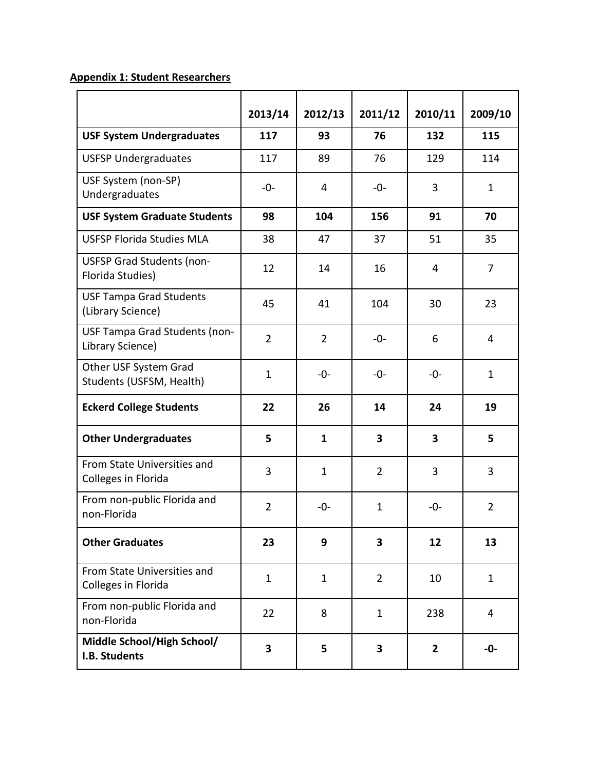## **Appendix 1: Student Researchers**

|                                                      | 2013/14        | 2012/13        | 2011/12                 | 2010/11        | 2009/10        |
|------------------------------------------------------|----------------|----------------|-------------------------|----------------|----------------|
| <b>USF System Undergraduates</b>                     | 117            | 93             | 76                      | 132            | 115            |
| <b>USFSP Undergraduates</b>                          | 117            | 89             | 76                      | 129            | 114            |
| USF System (non-SP)<br>Undergraduates                | $-0-$          | 4              | $-0-$                   | 3              | $\mathbf{1}$   |
| <b>USF System Graduate Students</b>                  | 98             | 104            | 156                     | 91             | 70             |
| <b>USFSP Florida Studies MLA</b>                     | 38             | 47             | 37                      | 51             | 35             |
| <b>USFSP Grad Students (non-</b><br>Florida Studies) | 12             | 14             | 16                      | 4              | 7              |
| <b>USF Tampa Grad Students</b><br>(Library Science)  | 45             | 41             | 104                     | 30             | 23             |
| USF Tampa Grad Students (non-<br>Library Science)    | $\overline{2}$ | $\overline{2}$ | $-0-$                   | 6              | 4              |
| Other USF System Grad<br>Students (USFSM, Health)    | $\mathbf{1}$   | $-0-$          | $-0-$                   | -0-            | $\mathbf{1}$   |
| <b>Eckerd College Students</b>                       | 22             | 26             | 14                      | 24             | 19             |
| <b>Other Undergraduates</b>                          | 5              | $\mathbf{1}$   | 3                       | 3              | 5              |
| From State Universities and<br>Colleges in Florida   | 3              | $\mathbf{1}$   | $\overline{2}$          | 3              | 3              |
| From non-public Florida and<br>non-Florida           | $\overline{2}$ | $-0-$          | $\mathbf{1}$            | -0-            | $\overline{2}$ |
| <b>Other Graduates</b>                               | 23             | 9              | 3                       | 12             | 13             |
| From State Universities and<br>Colleges in Florida   | $\mathbf{1}$   | $\mathbf{1}$   | $\overline{2}$          | 10             | $\mathbf{1}$   |
| From non-public Florida and<br>non-Florida           | 22             | 8              | $\mathbf{1}$            | 238            | $\overline{4}$ |
| Middle School/High School/<br>I.B. Students          | 3              | 5              | $\overline{\mathbf{3}}$ | $\overline{2}$ | $-0-$          |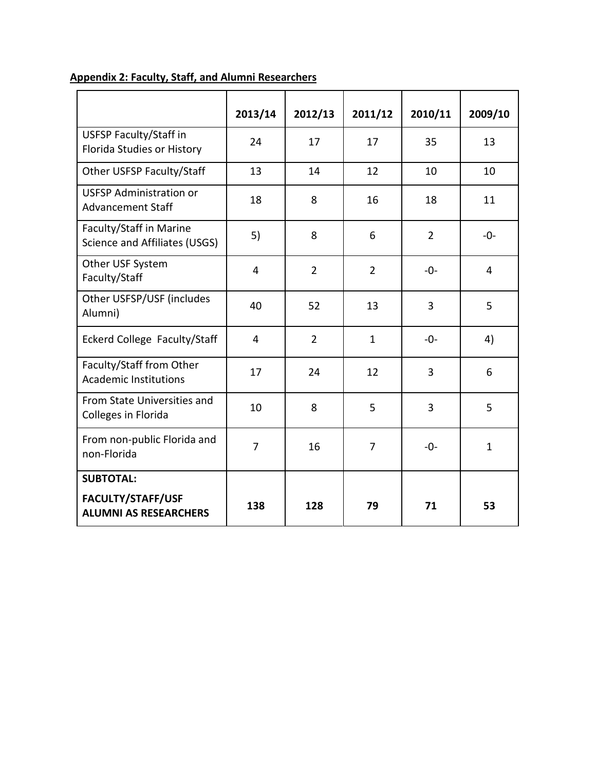|                                                             | 2013/14        | 2012/13        | 2011/12        | 2010/11        | 2009/10      |
|-------------------------------------------------------------|----------------|----------------|----------------|----------------|--------------|
| <b>USFSP Faculty/Staff in</b><br>Florida Studies or History | 24             | 17             | 17             | 35             | 13           |
| Other USFSP Faculty/Staff                                   | 13             | 14             | 12             | 10             | 10           |
| <b>USFSP Administration or</b><br><b>Advancement Staff</b>  | 18             | 8              | 16             | 18             | 11           |
| Faculty/Staff in Marine<br>Science and Affiliates (USGS)    | 5)             | 8              | 6              | $\overline{2}$ | $-0-$        |
| Other USF System<br>Faculty/Staff                           | 4              | $\overline{2}$ | $\overline{2}$ | $-0-$          | 4            |
| Other USFSP/USF (includes<br>Alumni)                        | 40             | 52             | 13             | 3              | 5            |
| Eckerd College Faculty/Staff                                | $\overline{4}$ | $\overline{2}$ | $\mathbf{1}$   | $-0-$          | 4)           |
| Faculty/Staff from Other<br><b>Academic Institutions</b>    | 17             | 24             | 12             | 3              | 6            |
| From State Universities and<br>Colleges in Florida          | 10             | 8              | 5              | 3              | 5            |
| From non-public Florida and<br>non-Florida                  | $\overline{7}$ | 16             | 7              | $-0-$          | $\mathbf{1}$ |
| <b>SUBTOTAL:</b>                                            |                |                |                |                |              |
| FACULTY/STAFF/USF<br><b>ALUMNI AS RESEARCHERS</b>           | 138            | 128            | 79             | 71             | 53           |

## **Appendix 2: Faculty, Staff, and Alumni Researchers**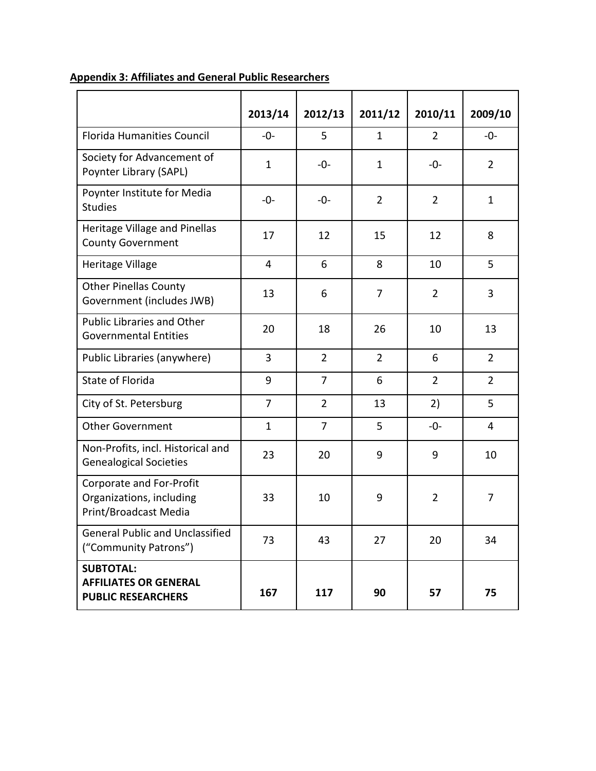|                                                                               | 2013/14        | 2012/13        | 2011/12        | 2010/11        | 2009/10        |
|-------------------------------------------------------------------------------|----------------|----------------|----------------|----------------|----------------|
| <b>Florida Humanities Council</b>                                             | $-0-$          | 5              | $\mathbf{1}$   | 2              | $-0-$          |
| Society for Advancement of<br>Poynter Library (SAPL)                          | $\mathbf{1}$   | $-0-$          | $\mathbf{1}$   | $-0-$          | $\overline{2}$ |
| Poynter Institute for Media<br><b>Studies</b>                                 | $-0-$          | $-0-$          | $\overline{2}$ | $\overline{2}$ | $\mathbf{1}$   |
| Heritage Village and Pinellas<br><b>County Government</b>                     | 17             | 12             | 15             | 12             | 8              |
| Heritage Village                                                              | 4              | 6              | 8              | 10             | 5              |
| <b>Other Pinellas County</b><br>Government (includes JWB)                     | 13             | 6              | $\overline{7}$ | $\overline{2}$ | 3              |
| <b>Public Libraries and Other</b><br><b>Governmental Entities</b>             | 20             | 18             | 26             | 10             | 13             |
| Public Libraries (anywhere)                                                   | 3              | $\overline{2}$ | $\overline{2}$ | 6              | $\overline{2}$ |
| <b>State of Florida</b>                                                       | 9              | $\overline{7}$ | 6              | $\overline{2}$ | $\overline{2}$ |
| City of St. Petersburg                                                        | $\overline{7}$ | $\overline{2}$ | 13             | 2)             | 5              |
| <b>Other Government</b>                                                       | $\mathbf{1}$   | $\overline{7}$ | 5              | $-0-$          | 4              |
| Non-Profits, incl. Historical and<br><b>Genealogical Societies</b>            | 23             | 20             | 9              | 9              | 10             |
| Corporate and For-Profit<br>Organizations, including<br>Print/Broadcast Media | 33             | 10             | 9              | $\overline{2}$ | 7              |
| <b>General Public and Unclassified</b><br>("Community Patrons")               | 73             | 43             | 27             | 20             | 34             |
| <b>SUBTOTAL:</b><br><b>AFFILIATES OR GENERAL</b><br><b>PUBLIC RESEARCHERS</b> | 167            | 117            | 90             | 57             | 75             |

## **Appendix 3: Affiliates and General Public Researchers**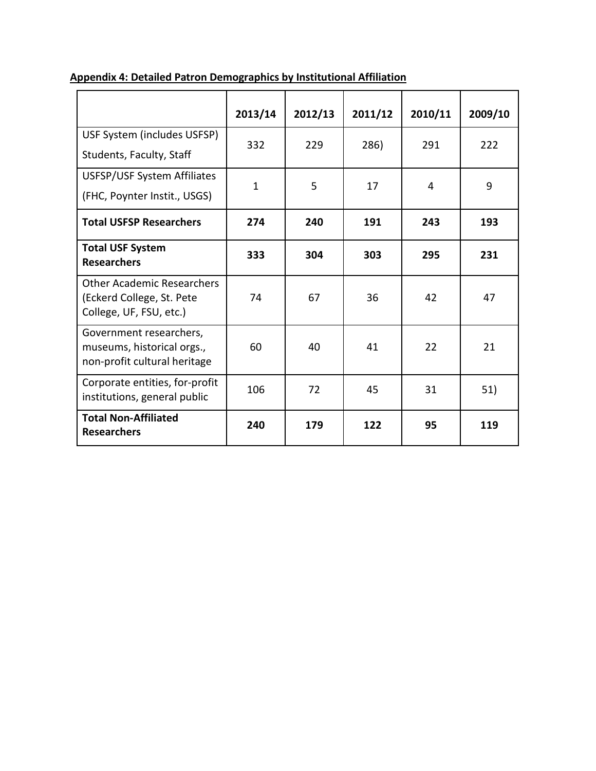|                                                                                           | 2013/14 | 2012/13 | 2011/12 | 2010/11 | 2009/10 |
|-------------------------------------------------------------------------------------------|---------|---------|---------|---------|---------|
| USF System (includes USFSP)<br>Students, Faculty, Staff                                   | 332     | 229     | 286)    | 291     | 222     |
| USFSP/USF System Affiliates<br>(FHC, Poynter Instit., USGS)                               | 1       | 5       | 17      | 4       | 9       |
| <b>Total USFSP Researchers</b>                                                            | 274     | 240     | 191     | 243     | 193     |
| <b>Total USF System</b><br><b>Researchers</b>                                             | 333     | 304     | 303     | 295     | 231     |
| <b>Other Academic Researchers</b><br>(Eckerd College, St. Pete<br>College, UF, FSU, etc.) | 74      | 67      | 36      | 42      | 47      |
| Government researchers,<br>museums, historical orgs.,<br>non-profit cultural heritage     | 60      | 40      | 41      | 22      | 21      |
| Corporate entities, for-profit<br>institutions, general public                            | 106     | 72      | 45      | 31      | 51)     |
| <b>Total Non-Affiliated</b><br><b>Researchers</b>                                         | 240     | 179     | 122     | 95      | 119     |

## **Appendix 4: Detailed Patron Demographics by Institutional Affiliation**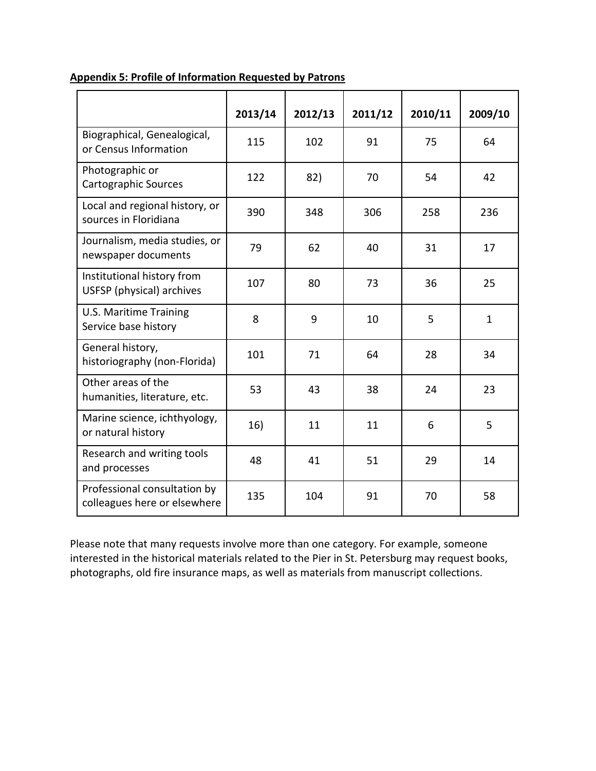|                                                              | 2013/14 | 2012/13 | 2011/12 | 2010/11 | 2009/10      |
|--------------------------------------------------------------|---------|---------|---------|---------|--------------|
| Biographical, Genealogical,<br>or Census Information         | 115     | 102     | 91      | 75      | 64           |
| Photographic or<br><b>Cartographic Sources</b>               | 122     | 82)     | 70      | 54      | 42           |
| Local and regional history, or<br>sources in Floridiana      | 390     | 348     | 306     | 258     | 236          |
| Journalism, media studies, or<br>newspaper documents         | 79      | 62      | 40      | 31      | 17           |
| Institutional history from<br>USFSP (physical) archives      | 107     | 80      | 73      | 36      | 25           |
| <b>U.S. Maritime Training</b><br>Service base history        | 8       | 9       | 10      | 5       | $\mathbf{1}$ |
| General history,<br>historiography (non-Florida)             | 101     | 71      | 64      | 28      | 34           |
| Other areas of the<br>humanities, literature, etc.           | 53      | 43      | 38      | 24      | 23           |
| Marine science, ichthyology,<br>or natural history           | 16)     | 11      | 11      | 6       | 5            |
| Research and writing tools<br>and processes                  | 48      | 41      | 51      | 29      | 14           |
| Professional consultation by<br>colleagues here or elsewhere | 135     | 104     | 91      | 70      | 58           |

#### **Appendix 5: Profile of Information Requested by Patrons**

Please note that many requests involve more than one category. For example, someone interested in the historical materials related to the Pier in St. Petersburg may request books, photographs, old fire insurance maps, as well as materials from manuscript collections.